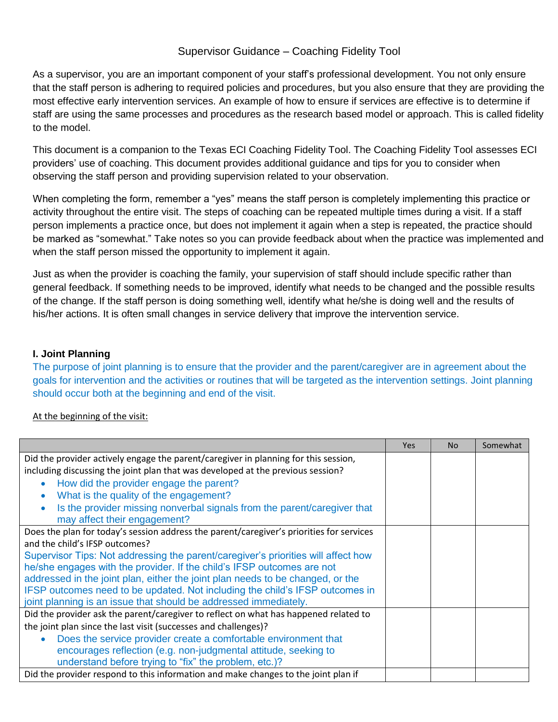# Supervisor Guidance – Coaching Fidelity Tool

As a supervisor, you are an important component of your staff's professional development. You not only ensure that the staff person is adhering to required policies and procedures, but you also ensure that they are providing the most effective early intervention services. An example of how to ensure if services are effective is to determine if staff are using the same processes and procedures as the research based model or approach. This is called fidelity to the model.

This document is a companion to the Texas ECI Coaching Fidelity Tool. The Coaching Fidelity Tool assesses ECI providers' use of coaching. This document provides additional guidance and tips for you to consider when observing the staff person and providing supervision related to your observation.

When completing the form, remember a "yes" means the staff person is completely implementing this practice or activity throughout the entire visit. The steps of coaching can be repeated multiple times during a visit. If a staff person implements a practice once, but does not implement it again when a step is repeated, the practice should be marked as "somewhat." Take notes so you can provide feedback about when the practice was implemented and when the staff person missed the opportunity to implement it again.

Just as when the provider is coaching the family, your supervision of staff should include specific rather than general feedback. If something needs to be improved, identify what needs to be changed and the possible results of the change. If the staff person is doing something well, identify what he/she is doing well and the results of his/her actions. It is often small changes in service delivery that improve the intervention service.

### **I. Joint Planning**

The purpose of joint planning is to ensure that the provider and the parent/caregiver are in agreement about the goals for intervention and the activities or routines that will be targeted as the intervention settings. Joint planning should occur both at the beginning and end of the visit.

### At the beginning of the visit:

|                                                                                                          | <b>Yes</b> | <b>No</b> | Somewhat |
|----------------------------------------------------------------------------------------------------------|------------|-----------|----------|
| Did the provider actively engage the parent/caregiver in planning for this session,                      |            |           |          |
| including discussing the joint plan that was developed at the previous session?                          |            |           |          |
| How did the provider engage the parent?                                                                  |            |           |          |
| What is the quality of the engagement?                                                                   |            |           |          |
| Is the provider missing nonverbal signals from the parent/caregiver that<br>may affect their engagement? |            |           |          |
| Does the plan for today's session address the parent/caregiver's priorities for services                 |            |           |          |
| and the child's IFSP outcomes?                                                                           |            |           |          |
| Supervisor Tips: Not addressing the parent/caregiver's priorities will affect how                        |            |           |          |
| he/she engages with the provider. If the child's IFSP outcomes are not                                   |            |           |          |
| addressed in the joint plan, either the joint plan needs to be changed, or the                           |            |           |          |
| IFSP outcomes need to be updated. Not including the child's IFSP outcomes in                             |            |           |          |
| joint planning is an issue that should be addressed immediately.                                         |            |           |          |
| Did the provider ask the parent/caregiver to reflect on what has happened related to                     |            |           |          |
| the joint plan since the last visit (successes and challenges)?                                          |            |           |          |
| Does the service provider create a comfortable environment that                                          |            |           |          |
| encourages reflection (e.g. non-judgmental attitude, seeking to                                          |            |           |          |
| understand before trying to "fix" the problem, etc.)?                                                    |            |           |          |
| Did the provider respond to this information and make changes to the joint plan if                       |            |           |          |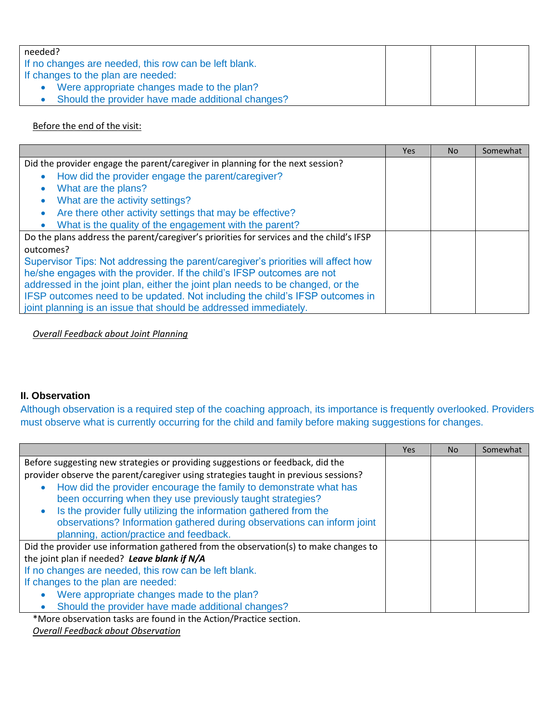| needed?                                               |  |  |
|-------------------------------------------------------|--|--|
| If no changes are needed, this row can be left blank. |  |  |
| If changes to the plan are needed:                    |  |  |
| Were appropriate changes made to the plan?            |  |  |
| Should the provider have made additional changes?     |  |  |

### Before the end of the visit:

|                                                                                          | Yes | No. | Somewhat |
|------------------------------------------------------------------------------------------|-----|-----|----------|
| Did the provider engage the parent/caregiver in planning for the next session?           |     |     |          |
| How did the provider engage the parent/caregiver?<br>$\bullet$                           |     |     |          |
| What are the plans?<br>$\bullet$                                                         |     |     |          |
| What are the activity settings?<br>$\bullet$                                             |     |     |          |
| Are there other activity settings that may be effective?<br>$\bullet$                    |     |     |          |
| What is the quality of the engagement with the parent?<br>$\bullet$                      |     |     |          |
| Do the plans address the parent/caregiver's priorities for services and the child's IFSP |     |     |          |
| outcomes?                                                                                |     |     |          |
| Supervisor Tips: Not addressing the parent/caregiver's priorities will affect how        |     |     |          |
| he/she engages with the provider. If the child's IFSP outcomes are not                   |     |     |          |
| addressed in the joint plan, either the joint plan needs to be changed, or the           |     |     |          |
| IFSP outcomes need to be updated. Not including the child's IFSP outcomes in             |     |     |          |
| joint planning is an issue that should be addressed immediately.                         |     |     |          |

*Overall Feedback about Joint Planning*

## **II. Observation**

Although observation is a required step of the coaching approach, its importance is frequently overlooked. Providers must observe what is currently occurring for the child and family before making suggestions for changes.

|                                                                                                                                 | Yes | No. | Somewhat |
|---------------------------------------------------------------------------------------------------------------------------------|-----|-----|----------|
| Before suggesting new strategies or providing suggestions or feedback, did the                                                  |     |     |          |
| provider observe the parent/caregiver using strategies taught in previous sessions?                                             |     |     |          |
| How did the provider encourage the family to demonstrate what has<br>been occurring when they use previously taught strategies? |     |     |          |
| Is the provider fully utilizing the information gathered from the                                                               |     |     |          |
| observations? Information gathered during observations can inform joint                                                         |     |     |          |
| planning, action/practice and feedback.                                                                                         |     |     |          |
| Did the provider use information gathered from the observation(s) to make changes to                                            |     |     |          |
| the joint plan if needed? Leave blank if N/A                                                                                    |     |     |          |
| If no changes are needed, this row can be left blank.                                                                           |     |     |          |
| If changes to the plan are needed:                                                                                              |     |     |          |
| Were appropriate changes made to the plan?<br>$\bullet$                                                                         |     |     |          |
| Should the provider have made additional changes?                                                                               |     |     |          |
| *Mars observation tasks are found in the Action (Practice section                                                               |     |     |          |

\*More observation tasks are found in the Action/Practice section.

*Overall Feedback about Observation*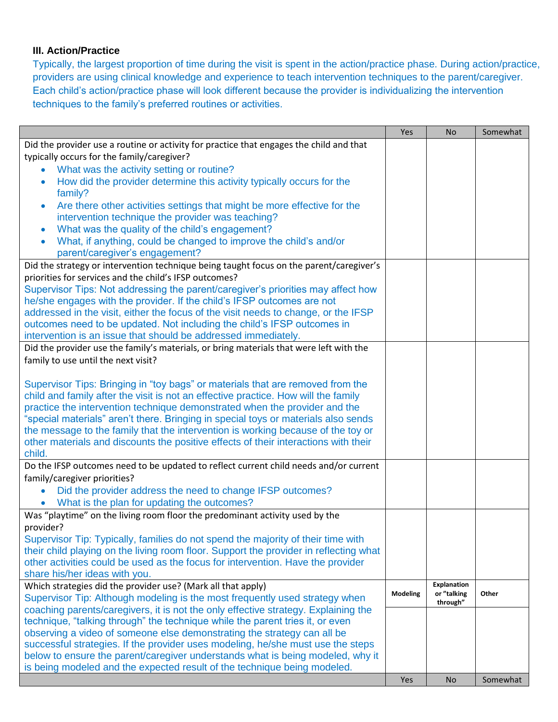# **III. Action/Practice**

Typically, the largest proportion of time during the visit is spent in the action/practice phase. During action/practice, providers are using clinical knowledge and experience to teach intervention techniques to the parent/caregiver. Each child's action/practice phase will look different because the provider is individualizing the intervention techniques to the family's preferred routines or activities.

|                                                                                                                  | Yes      | <b>No</b>          | Somewhat |
|------------------------------------------------------------------------------------------------------------------|----------|--------------------|----------|
| Did the provider use a routine or activity for practice that engages the child and that                          |          |                    |          |
| typically occurs for the family/caregiver?                                                                       |          |                    |          |
| What was the activity setting or routine?                                                                        |          |                    |          |
| How did the provider determine this activity typically occurs for the<br>$\bullet$                               |          |                    |          |
| family?                                                                                                          |          |                    |          |
| Are there other activities settings that might be more effective for the<br>$\bullet$                            |          |                    |          |
| intervention technique the provider was teaching?                                                                |          |                    |          |
| What was the quality of the child's engagement?<br>$\bullet$                                                     |          |                    |          |
| What, if anything, could be changed to improve the child's and/or                                                |          |                    |          |
| parent/caregiver's engagement?                                                                                   |          |                    |          |
| Did the strategy or intervention technique being taught focus on the parent/caregiver's                          |          |                    |          |
| priorities for services and the child's IFSP outcomes?                                                           |          |                    |          |
| Supervisor Tips: Not addressing the parent/caregiver's priorities may affect how                                 |          |                    |          |
| he/she engages with the provider. If the child's IFSP outcomes are not                                           |          |                    |          |
| addressed in the visit, either the focus of the visit needs to change, or the IFSP                               |          |                    |          |
| outcomes need to be updated. Not including the child's IFSP outcomes in                                          |          |                    |          |
| intervention is an issue that should be addressed immediately.                                                   |          |                    |          |
| Did the provider use the family's materials, or bring materials that were left with the                          |          |                    |          |
| family to use until the next visit?                                                                              |          |                    |          |
|                                                                                                                  |          |                    |          |
| Supervisor Tips: Bringing in "toy bags" or materials that are removed from the                                   |          |                    |          |
| child and family after the visit is not an effective practice. How will the family                               |          |                    |          |
| practice the intervention technique demonstrated when the provider and the                                       |          |                    |          |
| "special materials" aren't there. Bringing in special toys or materials also sends                               |          |                    |          |
| the message to the family that the intervention is working because of the toy or                                 |          |                    |          |
| other materials and discounts the positive effects of their interactions with their                              |          |                    |          |
| child.                                                                                                           |          |                    |          |
| Do the IFSP outcomes need to be updated to reflect current child needs and/or current                            |          |                    |          |
| family/caregiver priorities?                                                                                     |          |                    |          |
| Did the provider address the need to change IFSP outcomes?                                                       |          |                    |          |
| What is the plan for updating the outcomes?<br>$\bullet$                                                         |          |                    |          |
| Was "playtime" on the living room floor the predominant activity used by the                                     |          |                    |          |
| provider?                                                                                                        |          |                    |          |
| Supervisor Tip: Typically, families do not spend the majority of their time with                                 |          |                    |          |
| their child playing on the living room floor. Support the provider in reflecting what                            |          |                    |          |
| other activities could be used as the focus for intervention. Have the provider<br>share his/her ideas with you. |          |                    |          |
| Which strategies did the provider use? (Mark all that apply)                                                     |          | <b>Explanation</b> |          |
| Supervisor Tip: Although modeling is the most frequently used strategy when                                      | Modeling | or "talking        | Other    |
| coaching parents/caregivers, it is not the only effective strategy. Explaining the                               |          | through"           |          |
| technique, "talking through" the technique while the parent tries it, or even                                    |          |                    |          |
| observing a video of someone else demonstrating the strategy can all be                                          |          |                    |          |
| successful strategies. If the provider uses modeling, he/she must use the steps                                  |          |                    |          |
| below to ensure the parent/caregiver understands what is being modeled, why it                                   |          |                    |          |
| is being modeled and the expected result of the technique being modeled.                                         |          |                    |          |
|                                                                                                                  | Yes      | <b>No</b>          | Somewhat |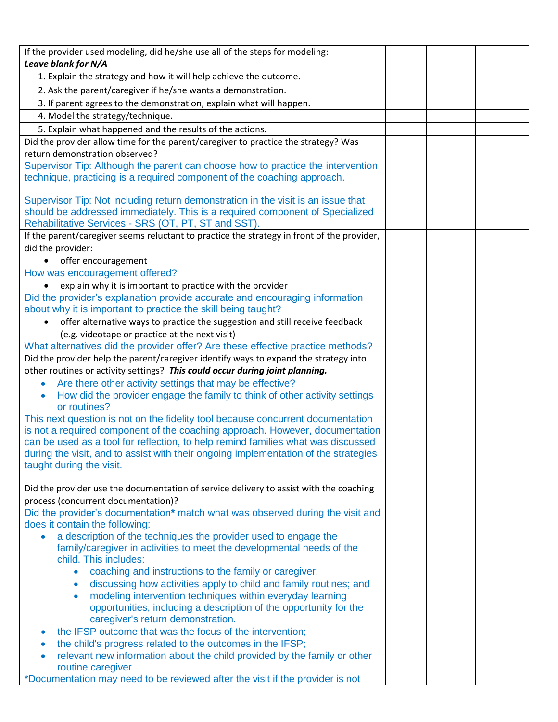| If the provider used modeling, did he/she use all of the steps for modeling:                                                                                     |  |
|------------------------------------------------------------------------------------------------------------------------------------------------------------------|--|
| Leave blank for N/A                                                                                                                                              |  |
| 1. Explain the strategy and how it will help achieve the outcome.                                                                                                |  |
| 2. Ask the parent/caregiver if he/she wants a demonstration.                                                                                                     |  |
| 3. If parent agrees to the demonstration, explain what will happen.                                                                                              |  |
| 4. Model the strategy/technique.                                                                                                                                 |  |
| 5. Explain what happened and the results of the actions.                                                                                                         |  |
| Did the provider allow time for the parent/caregiver to practice the strategy? Was                                                                               |  |
| return demonstration observed?                                                                                                                                   |  |
| Supervisor Tip: Although the parent can choose how to practice the intervention                                                                                  |  |
| technique, practicing is a required component of the coaching approach.                                                                                          |  |
|                                                                                                                                                                  |  |
| Supervisor Tip: Not including return demonstration in the visit is an issue that<br>should be addressed immediately. This is a required component of Specialized |  |
| Rehabilitative Services - SRS (OT, PT, ST and SST).                                                                                                              |  |
| If the parent/caregiver seems reluctant to practice the strategy in front of the provider,                                                                       |  |
| did the provider:                                                                                                                                                |  |
| offer encouragement                                                                                                                                              |  |
| How was encouragement offered?                                                                                                                                   |  |
| explain why it is important to practice with the provider                                                                                                        |  |
| Did the provider's explanation provide accurate and encouraging information                                                                                      |  |
| about why it is important to practice the skill being taught?                                                                                                    |  |
| offer alternative ways to practice the suggestion and still receive feedback                                                                                     |  |
| (e.g. videotape or practice at the next visit)                                                                                                                   |  |
| What alternatives did the provider offer? Are these effective practice methods?                                                                                  |  |
| Did the provider help the parent/caregiver identify ways to expand the strategy into                                                                             |  |
| other routines or activity settings? This could occur during joint planning.                                                                                     |  |
| Are there other activity settings that may be effective?                                                                                                         |  |
| How did the provider engage the family to think of other activity settings                                                                                       |  |
| or routines?                                                                                                                                                     |  |
| This next question is not on the fidelity tool because concurrent documentation<br>is not a required component of the coaching approach. However, documentation  |  |
| can be used as a tool for reflection, to help remind families what was discussed                                                                                 |  |
| during the visit, and to assist with their ongoing implementation of the strategies                                                                              |  |
| taught during the visit.                                                                                                                                         |  |
|                                                                                                                                                                  |  |
| Did the provider use the documentation of service delivery to assist with the coaching                                                                           |  |
| process (concurrent documentation)?                                                                                                                              |  |
| Did the provider's documentation* match what was observed during the visit and                                                                                   |  |
| does it contain the following:                                                                                                                                   |  |
| a description of the techniques the provider used to engage the                                                                                                  |  |
| family/caregiver in activities to meet the developmental needs of the<br>child. This includes:                                                                   |  |
| coaching and instructions to the family or caregiver;<br>$\bullet$                                                                                               |  |
| discussing how activities apply to child and family routines; and<br>$\bullet$                                                                                   |  |
| modeling intervention techniques within everyday learning<br>$\bullet$                                                                                           |  |
| opportunities, including a description of the opportunity for the                                                                                                |  |
| caregiver's return demonstration.                                                                                                                                |  |
| the IFSP outcome that was the focus of the intervention;<br>$\bullet$                                                                                            |  |
| the child's progress related to the outcomes in the IFSP;                                                                                                        |  |
| relevant new information about the child provided by the family or other                                                                                         |  |
| routine caregiver                                                                                                                                                |  |
| *Documentation may need to be reviewed after the visit if the provider is not                                                                                    |  |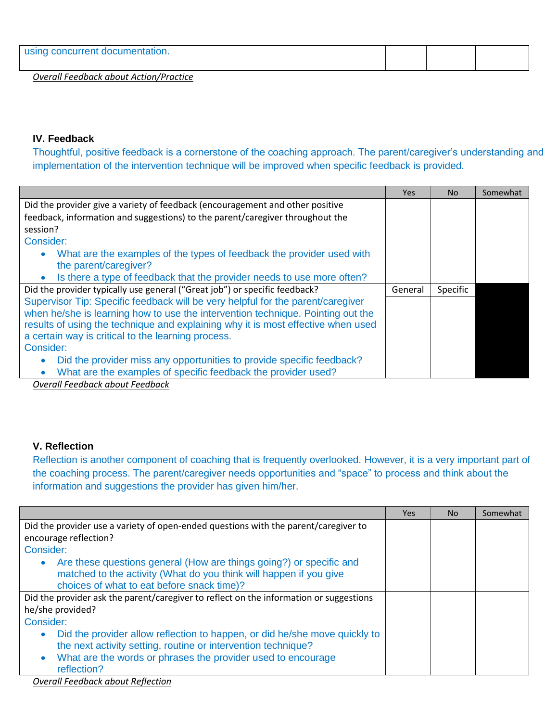| using concurrent documentation.               |  |  |
|-----------------------------------------------|--|--|
| <b>Overall Feedback about Action/Practice</b> |  |  |

#### **IV. Feedback**

Thoughtful, positive feedback is a cornerstone of the coaching approach. The parent/caregiver's understanding and implementation of the intervention technique will be improved when specific feedback is provided.

|                                                                                     | Yes     | <b>No</b> | Somewhat |
|-------------------------------------------------------------------------------------|---------|-----------|----------|
| Did the provider give a variety of feedback (encouragement and other positive       |         |           |          |
| feedback, information and suggestions) to the parent/caregiver throughout the       |         |           |          |
| session?                                                                            |         |           |          |
| Consider:                                                                           |         |           |          |
| What are the examples of the types of feedback the provider used with<br>$\bullet$  |         |           |          |
| the parent/caregiver?                                                               |         |           |          |
| Is there a type of feedback that the provider needs to use more often?<br>$\bullet$ |         |           |          |
|                                                                                     |         |           |          |
| Did the provider typically use general ("Great job") or specific feedback?          | General | Specific  |          |
| Supervisor Tip: Specific feedback will be very helpful for the parent/caregiver     |         |           |          |
| when he/she is learning how to use the intervention technique. Pointing out the     |         |           |          |
| results of using the technique and explaining why it is most effective when used    |         |           |          |
| a certain way is critical to the learning process.                                  |         |           |          |
| Consider:                                                                           |         |           |          |
| Did the provider miss any opportunities to provide specific feedback?<br>$\bullet$  |         |           |          |

*Overall Feedback about Feedback*

#### **V. Reflection**

Reflection is another component of coaching that is frequently overlooked. However, it is a very important part of the coaching process. The parent/caregiver needs opportunities and "space" to process and think about the information and suggestions the provider has given him/her.

|                                                                                        | <b>Yes</b> | No. | Somewhat |
|----------------------------------------------------------------------------------------|------------|-----|----------|
| Did the provider use a variety of open-ended questions with the parent/caregiver to    |            |     |          |
| encourage reflection?                                                                  |            |     |          |
| Consider:                                                                              |            |     |          |
| Are these questions general (How are things going?) or specific and                    |            |     |          |
| matched to the activity (What do you think will happen if you give                     |            |     |          |
| choices of what to eat before snack time)?                                             |            |     |          |
| Did the provider ask the parent/caregiver to reflect on the information or suggestions |            |     |          |
| he/she provided?                                                                       |            |     |          |
| Consider:                                                                              |            |     |          |
| Did the provider allow reflection to happen, or did he/she move quickly to             |            |     |          |
| the next activity setting, routine or intervention technique?                          |            |     |          |
| What are the words or phrases the provider used to encourage                           |            |     |          |
| reflection?                                                                            |            |     |          |

*Overall Feedback about Reflection*